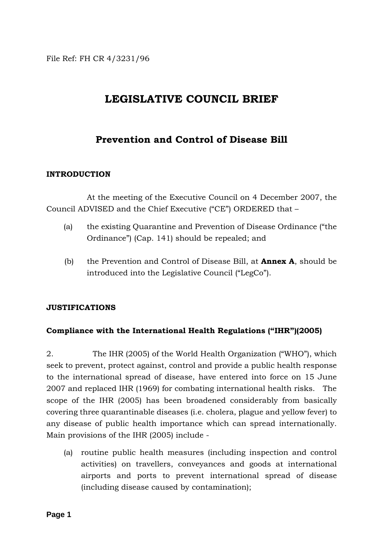File Ref: FH CR 4/3231/96

# **LEGISLATIVE COUNCIL BRIEF**

# **Prevention and Control of Disease Bill**

### **INTRODUCTION**

 At the meeting of the Executive Council on 4 December 2007, the Council ADVISED and the Chief Executive ("CE") ORDERED that –

- (a) the existing Quarantine and Prevention of Disease Ordinance ("the Ordinance") (Cap. 141) should be repealed; and
- (b) the Prevention and Control of Disease Bill, at **Annex A**, should be introduced into the Legislative Council ("LegCo").

# **JUSTIFICATIONS**

# **Compliance with the International Health Regulations ("IHR")(2005)**

2. The IHR (2005) of the World Health Organization ("WHO"), which seek to prevent, protect against, control and provide a public health response to the international spread of disease, have entered into force on 15 June 2007 and replaced IHR (1969) for combating international health risks. The scope of the IHR (2005) has been broadened considerably from basically covering three quarantinable diseases (i.e. cholera, plague and yellow fever) to any disease of public health importance which can spread internationally. Main provisions of the IHR (2005) include -

(a) routine public health measures (including inspection and control activities) on travellers, conveyances and goods at international airports and ports to prevent international spread of disease (including disease caused by contamination);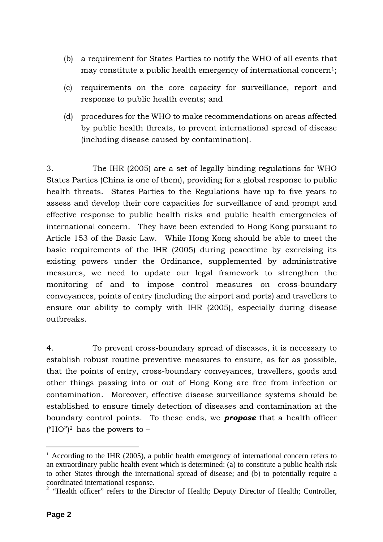- (b) a requirement for States Parties to notify the WHO of all events that may constitute a public health emergency of international concern<sup>1</sup>;
- (c) requirements on the core capacity for surveillance, report and response to public health events; and
- (d) procedures for the WHO to make recommendations on areas affected by public health threats, to prevent international spread of disease (including disease caused by contamination).

3. The IHR (2005) are a set of legally binding regulations for WHO States Parties (China is one of them), providing for a global response to public health threats. States Parties to the Regulations have up to five years to assess and develop their core capacities for surveillance of and prompt and effective response to public health risks and public health emergencies of international concern. They have been extended to Hong Kong pursuant to Article 153 of the Basic Law. While Hong Kong should be able to meet the basic requirements of the IHR (2005) during peacetime by exercising its existing powers under the Ordinance, supplemented by administrative measures, we need to update our legal framework to strengthen the monitoring of and to impose control measures on cross-boundary conveyances, points of entry (including the airport and ports) and travellers to ensure our ability to comply with IHR (2005), especially during disease outbreaks.

4. To prevent cross-boundary spread of diseases, it is necessary to establish robust routine preventive measures to ensure, as far as possible, that the points of entry, cross-boundary conveyances, travellers, goods and other things passing into or out of Hong Kong are free from infection or contamination. Moreover, effective disease surveillance systems should be established to ensure timely detection of diseases and contamination at the boundary control points. To these ends, we *propose* that a health officer ("HO")<sup>2</sup> has the powers to  $-$ 

 $\overline{a}$ 

 $1$  According to the IHR (2005), a public health emergency of international concern refers to an extraordinary public health event which is determined: (a) to constitute a public health risk to other States through the international spread of disease; and (b) to potentially require a coordinated international response.

<sup>&</sup>lt;sup>2</sup> "Health officer" refers to the Director of Health; Deputy Director of Health; Controller,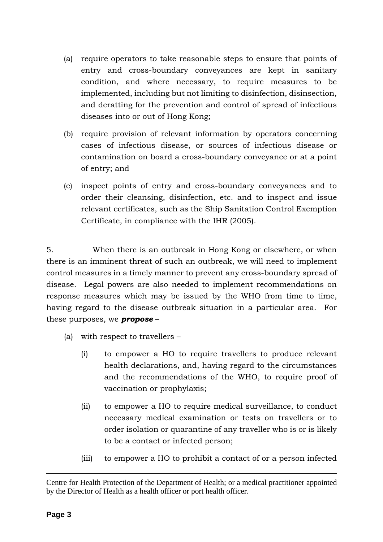- (a) require operators to take reasonable steps to ensure that points of entry and cross-boundary conveyances are kept in sanitary condition, and where necessary, to require measures to be implemented, including but not limiting to disinfection, disinsection, and deratting for the prevention and control of spread of infectious diseases into or out of Hong Kong;
- (b) require provision of relevant information by operators concerning cases of infectious disease, or sources of infectious disease or contamination on board a cross-boundary conveyance or at a point of entry; and
- (c) inspect points of entry and cross-boundary conveyances and to order their cleansing, disinfection, etc. and to inspect and issue relevant certificates, such as the Ship Sanitation Control Exemption Certificate, in compliance with the IHR (2005).

5. When there is an outbreak in Hong Kong or elsewhere, or when there is an imminent threat of such an outbreak, we will need to implement control measures in a timely manner to prevent any cross-boundary spread of disease. Legal powers are also needed to implement recommendations on response measures which may be issued by the WHO from time to time, having regard to the disease outbreak situation in a particular area. For these purposes, we *propose* –

- (a) with respect to travellers
	- (i) to empower a HO to require travellers to produce relevant health declarations, and, having regard to the circumstances and the recommendations of the WHO, to require proof of vaccination or prophylaxis;
	- (ii) to empower a HO to require medical surveillance, to conduct necessary medical examination or tests on travellers or to order isolation or quarantine of any traveller who is or is likely to be a contact or infected person;
	- (iii) to empower a HO to prohibit a contact of or a person infected

 $\overline{a}$ 

Centre for Health Protection of the Department of Health; or a medical practitioner appointed by the Director of Health as a health officer or port health officer.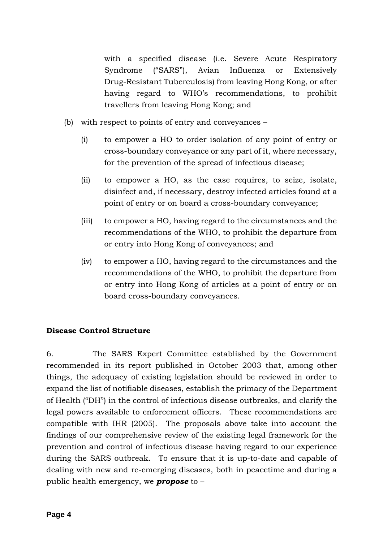with a specified disease (i.e. Severe Acute Respiratory Syndrome ("SARS"), Avian Influenza or Extensively Drug-Resistant Tuberculosis) from leaving Hong Kong, or after having regard to WHO's recommendations, to prohibit travellers from leaving Hong Kong; and

- (b) with respect to points of entry and conveyances
	- (i) to empower a HO to order isolation of any point of entry or cross-boundary conveyance or any part of it, where necessary, for the prevention of the spread of infectious disease;
	- (ii) to empower a HO, as the case requires, to seize, isolate, disinfect and, if necessary, destroy infected articles found at a point of entry or on board a cross-boundary conveyance;
	- (iii) to empower a HO, having regard to the circumstances and the recommendations of the WHO, to prohibit the departure from or entry into Hong Kong of conveyances; and
	- (iv) to empower a HO, having regard to the circumstances and the recommendations of the WHO, to prohibit the departure from or entry into Hong Kong of articles at a point of entry or on board cross-boundary conveyances.

# **Disease Control Structure**

6. The SARS Expert Committee established by the Government recommended in its report published in October 2003 that, among other things, the adequacy of existing legislation should be reviewed in order to expand the list of notifiable diseases, establish the primacy of the Department of Health ("DH") in the control of infectious disease outbreaks, and clarify the legal powers available to enforcement officers. These recommendations are compatible with IHR (2005). The proposals above take into account the findings of our comprehensive review of the existing legal framework for the prevention and control of infectious disease having regard to our experience during the SARS outbreak. To ensure that it is up-to-date and capable of dealing with new and re-emerging diseases, both in peacetime and during a public health emergency, we *propose* to –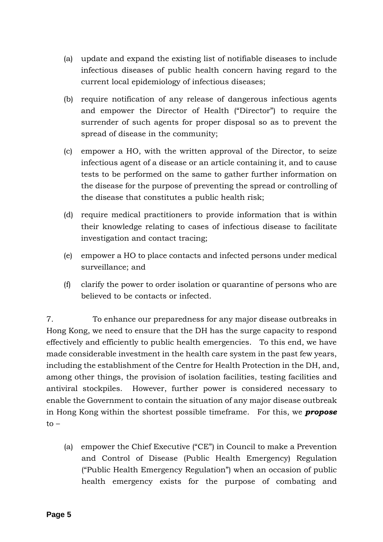- (a) update and expand the existing list of notifiable diseases to include infectious diseases of public health concern having regard to the current local epidemiology of infectious diseases;
- (b) require notification of any release of dangerous infectious agents and empower the Director of Health ("Director") to require the surrender of such agents for proper disposal so as to prevent the spread of disease in the community;
- (c) empower a HO, with the written approval of the Director, to seize infectious agent of a disease or an article containing it, and to cause tests to be performed on the same to gather further information on the disease for the purpose of preventing the spread or controlling of the disease that constitutes a public health risk;
- (d) require medical practitioners to provide information that is within their knowledge relating to cases of infectious disease to facilitate investigation and contact tracing;
- (e) empower a HO to place contacts and infected persons under medical surveillance; and
- (f) clarify the power to order isolation or quarantine of persons who are believed to be contacts or infected.

7. To enhance our preparedness for any major disease outbreaks in Hong Kong, we need to ensure that the DH has the surge capacity to respond effectively and efficiently to public health emergencies. To this end, we have made considerable investment in the health care system in the past few years, including the establishment of the Centre for Health Protection in the DH, and, among other things, the provision of isolation facilities, testing facilities and antiviral stockpiles. However, further power is considered necessary to enable the Government to contain the situation of any major disease outbreak in Hong Kong within the shortest possible timeframe. For this, we *propose*  $to -$ 

(a) empower the Chief Executive ("CE") in Council to make a Prevention and Control of Disease (Public Health Emergency) Regulation ("Public Health Emergency Regulation") when an occasion of public health emergency exists for the purpose of combating and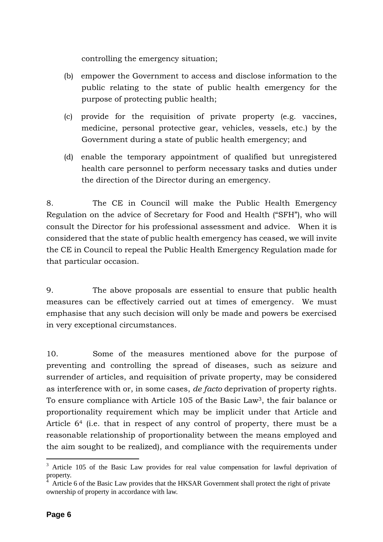controlling the emergency situation;

- (b) empower the Government to access and disclose information to the public relating to the state of public health emergency for the purpose of protecting public health;
- (c) provide for the requisition of private property (e.g. vaccines, medicine, personal protective gear, vehicles, vessels, etc.) by the Government during a state of public health emergency; and
- (d) enable the temporary appointment of qualified but unregistered health care personnel to perform necessary tasks and duties under the direction of the Director during an emergency.

8. The CE in Council will make the Public Health Emergency Regulation on the advice of Secretary for Food and Health ("SFH"), who will consult the Director for his professional assessment and advice. When it is considered that the state of public health emergency has ceased, we will invite the CE in Council to repeal the Public Health Emergency Regulation made for that particular occasion.

9. The above proposals are essential to ensure that public health measures can be effectively carried out at times of emergency. We must emphasise that any such decision will only be made and powers be exercised in very exceptional circumstances.

10. Some of the measures mentioned above for the purpose of preventing and controlling the spread of diseases, such as seizure and surrender of articles, and requisition of private property, may be considered as interference with or, in some cases, *de facto* deprivation of property rights. To ensure compliance with Article 105 of the Basic Law3, the fair balance or proportionality requirement which may be implicit under that Article and Article 64 (i.e. that in respect of any control of property, there must be a reasonable relationship of proportionality between the means employed and the aim sought to be realized), and compliance with the requirements under

 $\overline{a}$ 

<sup>&</sup>lt;sup>3</sup> Article 105 of the Basic Law provides for real value compensation for lawful deprivation of property.

<sup>4</sup> Article 6 of the Basic Law provides that the HKSAR Government shall protect the right of private ownership of property in accordance with law.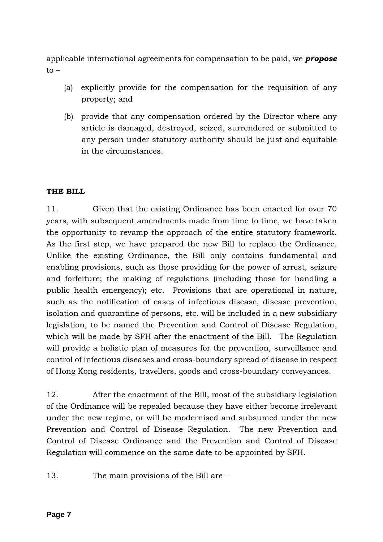applicable international agreements for compensation to be paid, we *propose*  $to -$ 

- (a) explicitly provide for the compensation for the requisition of any property; and
- (b) provide that any compensation ordered by the Director where any article is damaged, destroyed, seized, surrendered or submitted to any person under statutory authority should be just and equitable in the circumstances.

# **THE BILL**

11. Given that the existing Ordinance has been enacted for over 70 years, with subsequent amendments made from time to time, we have taken the opportunity to revamp the approach of the entire statutory framework. As the first step, we have prepared the new Bill to replace the Ordinance. Unlike the existing Ordinance, the Bill only contains fundamental and enabling provisions, such as those providing for the power of arrest, seizure and forfeiture; the making of regulations (including those for handling a public health emergency); etc. Provisions that are operational in nature, such as the notification of cases of infectious disease, disease prevention, isolation and quarantine of persons, etc. will be included in a new subsidiary legislation, to be named the Prevention and Control of Disease Regulation, which will be made by SFH after the enactment of the Bill. The Regulation will provide a holistic plan of measures for the prevention, surveillance and control of infectious diseases and cross-boundary spread of disease in respect of Hong Kong residents, travellers, goods and cross-boundary conveyances.

12. After the enactment of the Bill, most of the subsidiary legislation of the Ordinance will be repealed because they have either become irrelevant under the new regime, or will be modernised and subsumed under the new Prevention and Control of Disease Regulation. The new Prevention and Control of Disease Ordinance and the Prevention and Control of Disease Regulation will commence on the same date to be appointed by SFH.

13. The main provisions of the Bill are –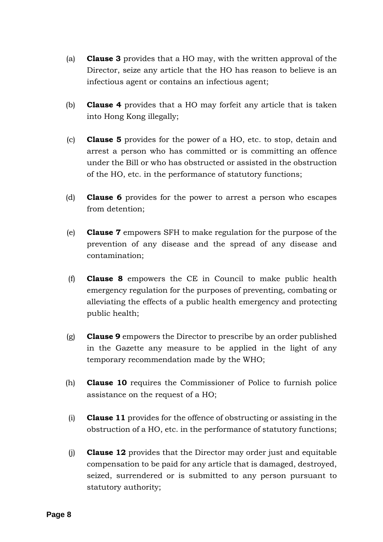- (a) **Clause 3** provides that a HO may, with the written approval of the Director, seize any article that the HO has reason to believe is an infectious agent or contains an infectious agent;
- (b) **Clause 4** provides that a HO may forfeit any article that is taken into Hong Kong illegally;
- (c) **Clause 5** provides for the power of a HO, etc. to stop, detain and arrest a person who has committed or is committing an offence under the Bill or who has obstructed or assisted in the obstruction of the HO, etc. in the performance of statutory functions;
- (d) **Clause 6** provides for the power to arrest a person who escapes from detention;
- (e) **Clause 7** empowers SFH to make regulation for the purpose of the prevention of any disease and the spread of any disease and contamination;
- (f) **Clause 8** empowers the CE in Council to make public health emergency regulation for the purposes of preventing, combating or alleviating the effects of a public health emergency and protecting public health;
- (g) **Clause 9** empowers the Director to prescribe by an order published in the Gazette any measure to be applied in the light of any temporary recommendation made by the WHO;
- (h) **Clause 10** requires the Commissioner of Police to furnish police assistance on the request of a HO;
- (i) **Clause 11** provides for the offence of obstructing or assisting in the obstruction of a HO, etc. in the performance of statutory functions;
- (j) **Clause 12** provides that the Director may order just and equitable compensation to be paid for any article that is damaged, destroyed, seized, surrendered or is submitted to any person pursuant to statutory authority;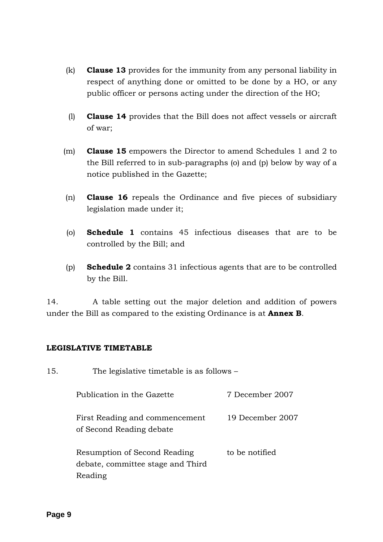- (k) **Clause 13** provides for the immunity from any personal liability in respect of anything done or omitted to be done by a HO, or any public officer or persons acting under the direction of the HO;
- (l) **Clause 14** provides that the Bill does not affect vessels or aircraft of war;
- (m) **Clause 15** empowers the Director to amend Schedules 1 and 2 to the Bill referred to in sub-paragraphs (o) and (p) below by way of a notice published in the Gazette;
- (n) **Clause 16** repeals the Ordinance and five pieces of subsidiary legislation made under it;
- (o) **Schedule 1** contains 45 infectious diseases that are to be controlled by the Bill; and
- (p) **Schedule 2** contains 31 infectious agents that are to be controlled by the Bill.

14. A table setting out the major deletion and addition of powers under the Bill as compared to the existing Ordinance is at **Annex B**.

# **LEGISLATIVE TIMETABLE**

| 15. | The legislative timetable is as follows –                                    |                  |
|-----|------------------------------------------------------------------------------|------------------|
|     | Publication in the Gazette                                                   | 7 December 2007  |
|     | First Reading and commencement<br>of Second Reading debate                   | 19 December 2007 |
|     | Resumption of Second Reading<br>debate, committee stage and Third<br>Reading | to be notified   |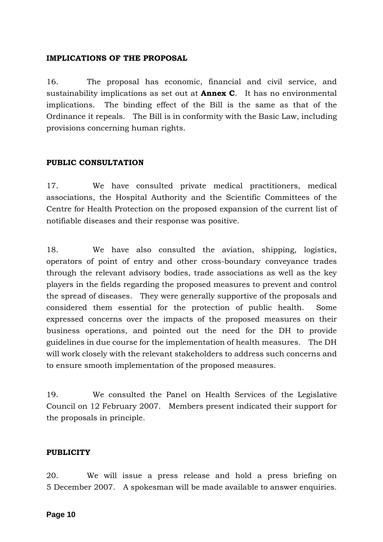### **IMPLICATIONS OF THE PROPOSAL**

16. The proposal has economic, financial and civil service, and sustainability implications as set out at **Annex C**. It has no environmental implications. The binding effect of the Bill is the same as that of the Ordinance it repeals. The Bill is in conformity with the Basic Law, including provisions concerning human rights.

### **PUBLIC CONSULTATION**

17. We have consulted private medical practitioners, medical associations, the Hospital Authority and the Scientific Committees of the Centre for Health Protection on the proposed expansion of the current list of notifiable diseases and their response was positive.

18. We have also consulted the aviation, shipping, logistics, operators of point of entry and other cross-boundary conveyance trades through the relevant advisory bodies, trade associations as well as the key players in the fields regarding the proposed measures to prevent and control the spread of diseases. They were generally supportive of the proposals and considered them essential for the protection of public health. Some expressed concerns over the impacts of the proposed measures on their business operations, and pointed out the need for the DH to provide guidelines in due course for the implementation of health measures. The DH will work closely with the relevant stakeholders to address such concerns and to ensure smooth implementation of the proposed measures.

19. We consulted the Panel on Health Services of the Legislative Council on 12 February 2007. Members present indicated their support for the proposals in principle.

### **PUBLICITY**

20. We will issue a press release and hold a press briefing on 5 December 2007. A spokesman will be made available to answer enquiries.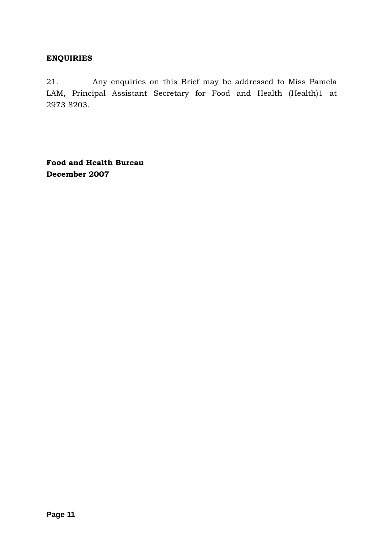# **ENQUIRIES**

21. Any enquiries on this Brief may be addressed to Miss Pamela LAM, Principal Assistant Secretary for Food and Health (Health)1 at 2973 8203.

**Food and Health Bureau December 2007**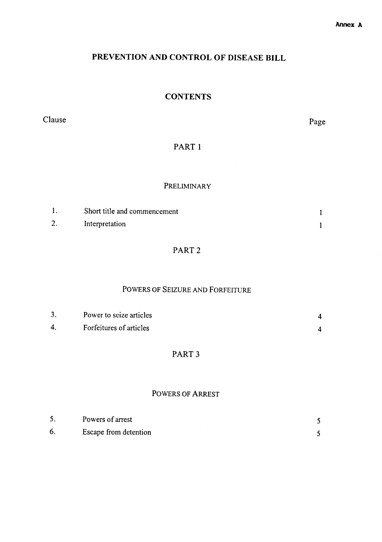# PREVENTION AND CONTROL OF DISEASE BILL

# **CONTENTS**

Clause

Page

# PART 1

### PRELIMINARY

|    | Short title and commencement |  |
|----|------------------------------|--|
| 2. | Interpretation               |  |

# PART<sub>2</sub>

# POWERS OF SEIZURE AND FORFEITURE

|   | Power to seize articles |  |
|---|-------------------------|--|
| 4 | Forfeitures of articles |  |

# PART<sub>3</sub>

### **POWERS OF ARREST**

| D. | Powers of arrest      |  |
|----|-----------------------|--|
|    | Escape from detention |  |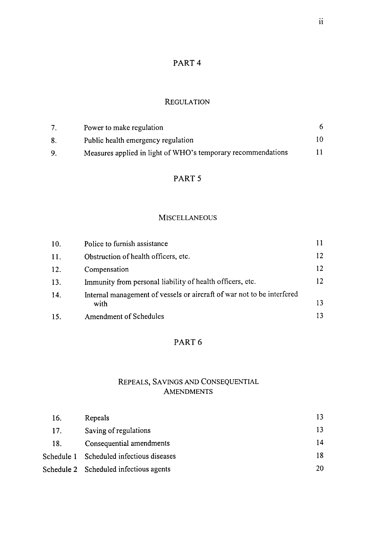# PART<sub>4</sub>

# **REGULATION**

|    | Power to make regulation                                     |    |
|----|--------------------------------------------------------------|----|
|    | Public health emergency regulation                           |    |
| 9. | Measures applied in light of WHO's temporary recommendations | 11 |

# PART 5

#### **MISCELLANEOUS**

| 10. | Police to furnish assistance                                                   |    |
|-----|--------------------------------------------------------------------------------|----|
| 11. | Obstruction of health officers, etc.                                           | 12 |
| 12. | Compensation                                                                   | 12 |
| 13. | Immunity from personal liability of health officers, etc.                      | 12 |
| 14. | Internal management of vessels or aircraft of war not to be interfered<br>with | 13 |
| 15. | <b>Amendment of Schedules</b>                                                  | 13 |

# PART 6

# REPEALS, SAVINGS AND CONSEQUENTIAL **AMENDMENTS**

| 16. | Repeals                                  | 13 |
|-----|------------------------------------------|----|
| 17. | Saving of regulations                    | 13 |
| 18. | Consequential amendments                 | 14 |
|     | Schedule 1 Scheduled infectious diseases | 18 |
|     | Schedule 2 Scheduled infectious agents   | 20 |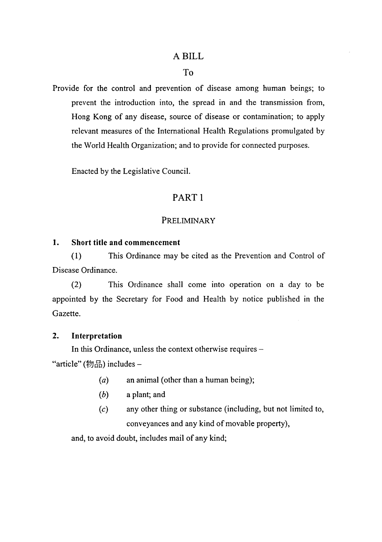### A BILL

### $To$

Provide for the control and prevention of disease among human beings; to prevent the introduction into, the spread in and the transmission from, Hong Kong of any disease, source of disease or contamination; to apply relevant measures of the International Health Regulations promulgated by the World Health Organization; and to provide for connected purposes.

Enacted by the Legislative Council.

# PART<sub>1</sub>

### PRELIMINARY

#### $\mathbf{1}$ . **Short title and commencement**

 $(1)$ This Ordinance may be cited as the Prevention and Control of Disease Ordinance.

 $(2)$ This Ordinance shall come into operation on a day to be appointed by the Secretary for Food and Health by notice published in the Gazette.

#### $2.$ Interpretation

In this Ordinance, unless the context otherwise requires -"article" (物品) includes -

- an animal (other than a human being);  $(a)$
- $(b)$ a plant; and
- any other thing or substance (including, but not limited to,  $(c)$ conveyances and any kind of movable property),

and, to avoid doubt, includes mail of any kind;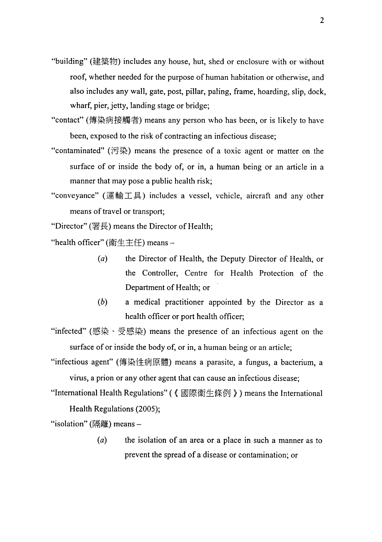- "building" (建築物) includes any house, hut, shed or enclosure with or without roof, whether needed for the purpose of human habitation or otherwise, and also includes any wall, gate, post, pillar, paling, frame, hoarding, slip, dock, wharf, pier, jetty, landing stage or bridge;
- "contact" (傳染病接觸者) means any person who has been, or is likely to have been, exposed to the risk of contracting an infectious disease;
- "contaminated" (污染) means the presence of a toxic agent or matter on the surface of or inside the body of, or in, a human being or an article in a manner that may pose a public health risk;
- "conveyance" (運輸工具) includes a vessel, vehicle, aircraft and any other means of travel or transport;

"Director" (署長) means the Director of Health;

"health officer" (衛生主任) means-

- the Director of Health, the Deputy Director of Health, or  $(a)$ the Controller, Centre for Health Protection of the Department of Health; or
- $(b)$ a medical practitioner appointed by the Director as a health officer or port health officer;

"infected" (感染、受感染) means the presence of an infectious agent on the surface of or inside the body of, or in, a human being or an article;

"infectious agent" (傳染性病原體) means a parasite, a fungus, a bacterium, a virus, a prion or any other agent that can cause an infectious disease:

"International Health Regulations" (《國際衞生條例》) means the International Health Regulations (2005);

"isolation" (隔離) means -

 $(a)$ the isolation of an area or a place in such a manner as to prevent the spread of a disease or contamination; or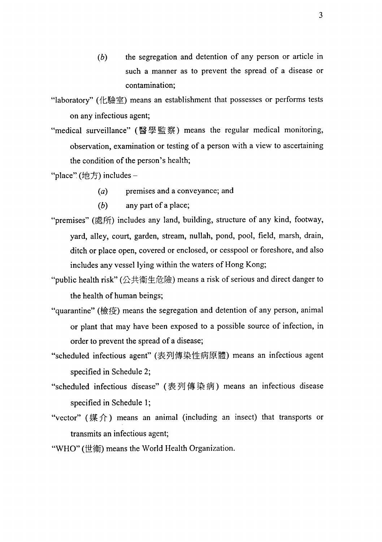the segregation and detention of any person or article in  $(b)$ such a manner as to prevent the spread of a disease or contamination:

"laboratory" (化驗室) means an establishment that possesses or performs tests on any infectious agent;

"medical surveillance" (醫學監察) means the regular medical monitoring, observation, examination or testing of a person with a view to ascertaining the condition of the person's health;

"place" (地方) includes -

- premises and a conveyance; and  $(a)$
- $(b)$ any part of a place;
- "premises" (處所) includes any land, building, structure of any kind, footway, yard, alley, court, garden, stream, nullah, pond, pool, field, marsh, drain, ditch or place open, covered or enclosed, or cesspool or foreshore, and also includes any vessel lying within the waters of Hong Kong;
- "public health risk" (公共衛生危險) means a risk of serious and direct danger to the health of human beings;
- "quarantine" (檢疫) means the segregation and detention of any person, animal or plant that may have been exposed to a possible source of infection, in order to prevent the spread of a disease;
- "scheduled infectious agent" (表列傳染性病原體) means an infectious agent specified in Schedule 2;
- "scheduled infectious disease" (表列傳染病) means an infectious disease specified in Schedule 1;
- "vector" (媒介) means an animal (including an insect) that transports or transmits an infectious agent;
- "WHO" (世衛) means the World Health Organization.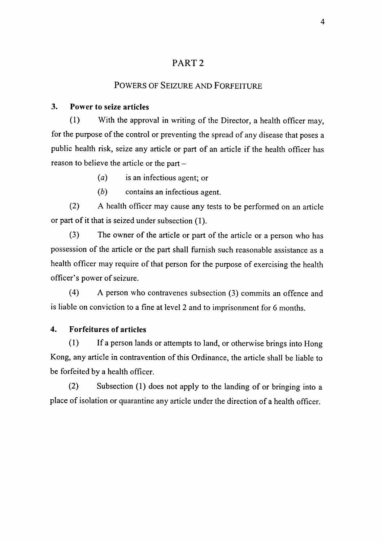# PART<sub>2</sub>

# POWERS OF SEIZURE AND FORFEITURE

#### $3.$ Power to seize articles

With the approval in writing of the Director, a health officer may,  $(1)$ for the purpose of the control or preventing the spread of any disease that poses a public health risk, seize any article or part of an article if the health officer has reason to believe the article or the part -

- $(a)$ is an infectious agent; or
- $(b)$ contains an infectious agent.

 $(2)$ A health officer may cause any tests to be performed on an article or part of it that is seized under subsection (1).

 $(3)$ The owner of the article or part of the article or a person who has possession of the article or the part shall furnish such reasonable assistance as a health officer may require of that person for the purpose of exercising the health officer's power of seizure.

 $(4)$ A person who contravenes subsection (3) commits an offence and is liable on conviction to a fine at level 2 and to imprisonment for 6 months.

#### $\overline{4}$ . **Forfeitures of articles**

 $(1)$ If a person lands or attempts to land, or otherwise brings into Hong Kong, any article in contravention of this Ordinance, the article shall be liable to be forfeited by a health officer.

 $(2)$ Subsection (1) does not apply to the landing of or bringing into a place of isolation or quarantine any article under the direction of a health officer.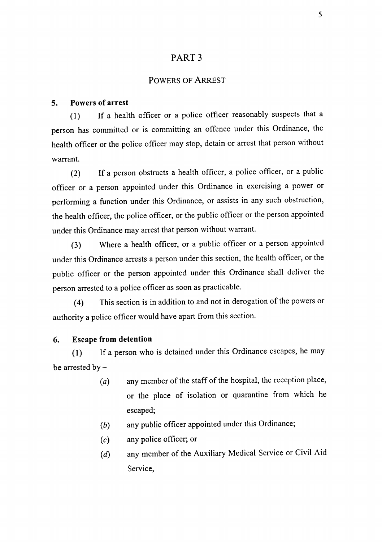# PART<sub>3</sub>

#### **POWERS OF ARREST**

#### **Powers of arrest**  $5.$

If a health officer or a police officer reasonably suspects that a  $(1)$ person has committed or is committing an offence under this Ordinance, the health officer or the police officer may stop, detain or arrest that person without warrant.

If a person obstructs a health officer, a police officer, or a public  $(2)$ officer or a person appointed under this Ordinance in exercising a power or performing a function under this Ordinance, or assists in any such obstruction, the health officer, the police officer, or the public officer or the person appointed under this Ordinance may arrest that person without warrant.

Where a health officer, or a public officer or a person appointed  $(3)$ under this Ordinance arrests a person under this section, the health officer, or the public officer or the person appointed under this Ordinance shall deliver the person arrested to a police officer as soon as practicable.

This section is in addition to and not in derogation of the powers or  $(4)$ authority a police officer would have apart from this section.

#### 6. **Escape from detention**

If a person who is detained under this Ordinance escapes, he may  $(1)$ be arrested by  $-$ 

- any member of the staff of the hospital, the reception place,  $(a)$ or the place of isolation or quarantine from which he escaped:
- any public officer appointed under this Ordinance;  $(b)$
- any police officer; or  $(c)$
- any member of the Auxiliary Medical Service or Civil Aid  $(d)$ Service,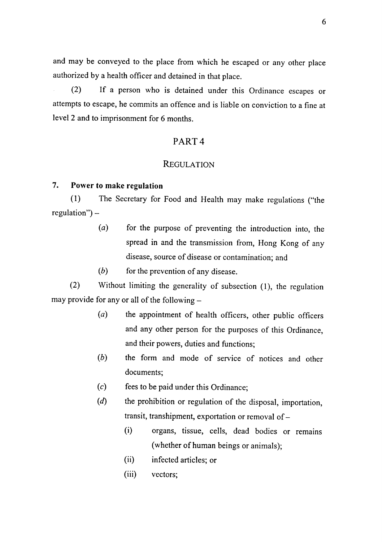and may be conveyed to the place from which he escaped or any other place authorized by a health officer and detained in that place.

If a person who is detained under this Ordinance escapes or  $(2)$ attempts to escape, he commits an offence and is liable on conviction to a fine at level 2 and to imprisonment for 6 months.

# PART<sub>4</sub>

#### **REGULATION**

#### 7. Power to make regulation

The Secretary for Food and Health may make regulations ("the  $(1)$  $regular'') -$ 

- $(a)$ for the purpose of preventing the introduction into, the spread in and the transmission from, Hong Kong of any disease, source of disease or contamination; and
- $(b)$ for the prevention of any disease.

 $(2)$ Without limiting the generality of subsection (1), the regulation may provide for any or all of the following -

- the appointment of health officers, other public officers  $(a)$ and any other person for the purposes of this Ordinance, and their powers, duties and functions;
- $(b)$ the form and mode of service of notices and other documents:
- $(c)$ fees to be paid under this Ordinance;
- $(d)$ the prohibition or regulation of the disposal, importation, transit, transhipment, exportation or removal of  $-$ 
	- $(i)$ organs, tissue, cells, dead bodies or remains (whether of human beings or animals);
	- infected articles; or  $(i)$
	- $(iii)$ vectors: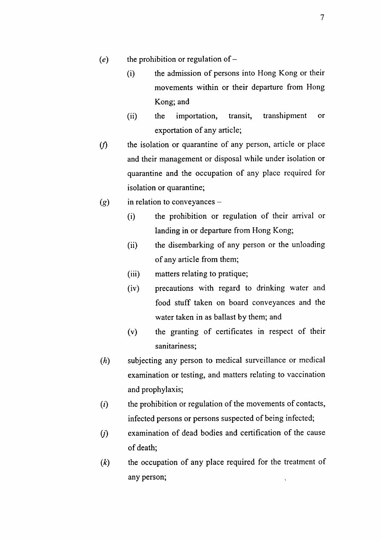- the prohibition or regulation of  $(e)$ 
	- the admission of persons into Hong Kong or their  $(i)$ movements within or their departure from Hong Kong; and
	- $(ii)$ the importation, transit. transhipment  $\overline{\text{or}}$ exportation of any article;
- the isolation or quarantine of any person, article or place  $(f)$ and their management or disposal while under isolation or quarantine and the occupation of any place required for isolation or quarantine;
- in relation to conveyances - $(g)$ 
	- the prohibition or regulation of their arrival or  $(i)$ landing in or departure from Hong Kong;
	- $(ii)$ the disembarking of any person or the unloading of any article from them;
	- matters relating to pratique;  $(iii)$
	- precautions with regard to drinking water and  $(iv)$ food stuff taken on board conveyances and the water taken in as ballast by them; and
	- $(v)$ the granting of certificates in respect of their sanitariness:
- $(h)$ subjecting any person to medical surveillance or medical examination or testing, and matters relating to vaccination and prophylaxis;
- $(i)$ the prohibition or regulation of the movements of contacts, infected persons or persons suspected of being infected;
- examination of dead bodies and certification of the cause  $(i)$ of death;
- the occupation of any place required for the treatment of  $(k)$ any person;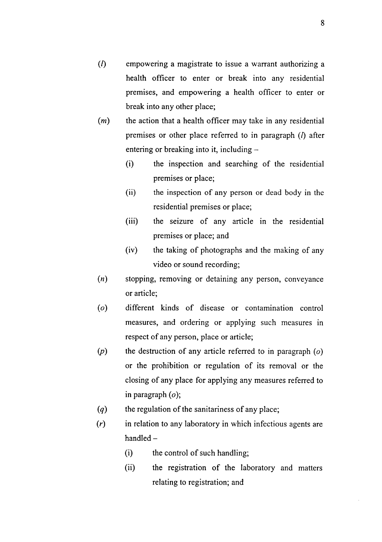- $\overline{(\Lambda)}$ empowering a magistrate to issue a warrant authorizing a health officer to enter or break into any residential premises, and empowering a health officer to enter or break into any other place;
- $(m)$ the action that a health officer may take in any residential premises or other place referred to in paragraph  $(l)$  after entering or breaking into it, including
	- the inspection and searching of the residential  $(i)$ premises or place;
	- $(ii)$ the inspection of any person or dead body in the residential premises or place;
	- $(iii)$ the seizure of any article in the residential premises or place; and
	- $(iv)$ the taking of photographs and the making of any video or sound recording;
- stopping, removing or detaining any person, conveyance  $(n)$ or article;
- different kinds of disease or contamination control  $(o)$ measures, and ordering or applying such measures in respect of any person, place or article;
- the destruction of any article referred to in paragraph  $(o)$  $(p)$ or the prohibition or regulation of its removal or the closing of any place for applying any measures referred to in paragraph  $(o)$ ;
- $(q)$ the regulation of the sanitariness of any place;
- $(r)$ in relation to any laboratory in which infectious agents are  $h$ andled  $$ 
	- the control of such handling;  $(i)$
	- $(ii)$ the registration of the laboratory and matters relating to registration; and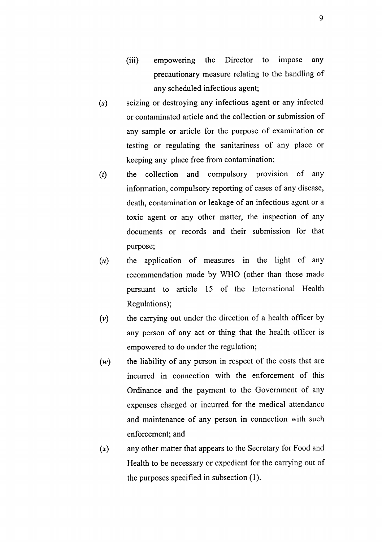- **Director**  $(iii)$ empowering the to impose any precautionary measure relating to the handling of any scheduled infectious agent;
- seizing or destroying any infectious agent or any infected  $(s)$ or contaminated article and the collection or submission of any sample or article for the purpose of examination or testing or regulating the sanitariness of any place or keeping any place free from contamination;
- $(t)$ the collection and compulsory provision of any information, compulsory reporting of cases of any disease, death, contamination or leakage of an infectious agent or a toxic agent or any other matter, the inspection of any documents or records and their submission for that purpose;
- the application of measures in the light of any  $(u)$ recommendation made by WHO (other than those made pursuant to article 15 of the International Health Regulations);
- the carrying out under the direction of a health officer by  $(v)$ any person of any act or thing that the health officer is empowered to do under the regulation;
- $(w)$ the liability of any person in respect of the costs that are incurred in connection with the enforcement of this Ordinance and the payment to the Government of any expenses charged or incurred for the medical attendance and maintenance of any person in connection with such enforcement; and
- any other matter that appears to the Secretary for Food and  $(x)$ Health to be necessary or expedient for the carrying out of the purposes specified in subsection (1).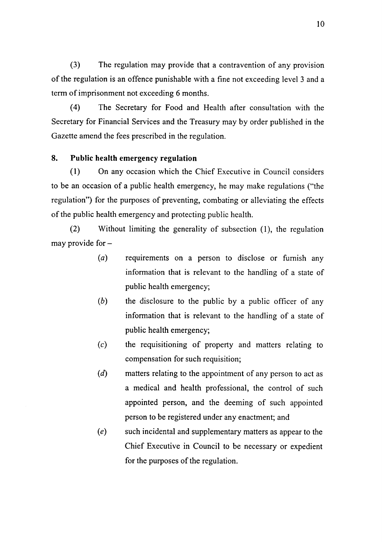$(3)$ The regulation may provide that a contravention of any provision of the regulation is an offence punishable with a fine not exceeding level 3 and a term of imprisonment not exceeding 6 months.

 $(4)$ The Secretary for Food and Health after consultation with the Secretary for Financial Services and the Treasury may by order published in the Gazette amend the fees prescribed in the regulation.

#### 8. Public health emergency regulation

 $(1)$ On any occasion which the Chief Executive in Council considers to be an occasion of a public health emergency, he may make regulations ("the regulation") for the purposes of preventing, combating or alleviating the effects of the public health emergency and protecting public health.

 $(2)$ Without limiting the generality of subsection (1), the regulation may provide for -

- $(a)$ requirements on a person to disclose or furnish any information that is relevant to the handling of a state of public health emergency;
- $(b)$ the disclosure to the public by a public officer of any information that is relevant to the handling of a state of public health emergency;
- $(c)$ the requisitioning of property and matters relating to compensation for such requisition;
- $(d)$ matters relating to the appointment of any person to act as a medical and health professional, the control of such appointed person, and the deeming of such appointed person to be registered under any enactment; and
- $(e)$ such incidental and supplementary matters as appear to the Chief Executive in Council to be necessary or expedient for the purposes of the regulation.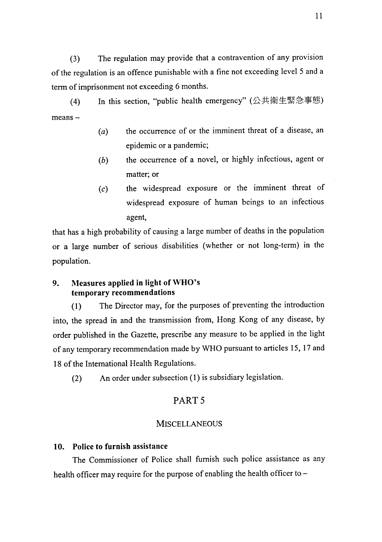The regulation may provide that a contravention of any provision  $(3)$ of the regulation is an offence punishable with a fine not exceeding level 5 and a term of imprisonment not exceeding 6 months.

In this section, "public health emergency" (公共衛生緊急事態)  $(4)$  $means -$ 

- the occurrence of or the imminent threat of a disease, an  $(a)$ epidemic or a pandemic;
- the occurrence of a novel, or highly infectious, agent or  $(b)$ matter; or
- the widespread exposure or the imminent threat of  $(c)$ widespread exposure of human beings to an infectious agent,

that has a high probability of causing a large number of deaths in the population or a large number of serious disabilities (whether or not long-term) in the population.

#### Measures applied in light of WHO's 9. temporary recommendations

The Director may, for the purposes of preventing the introduction  $(1)$ into, the spread in and the transmission from, Hong Kong of any disease, by order published in the Gazette, prescribe any measure to be applied in the light of any temporary recommendation made by WHO pursuant to articles 15, 17 and 18 of the International Health Regulations.

An order under subsection (1) is subsidiary legislation.  $(2)$ 

# PART<sub>5</sub>

### **MISCELLANEOUS**

### 10. Police to furnish assistance

The Commissioner of Police shall furnish such police assistance as any health officer may require for the purpose of enabling the health officer to -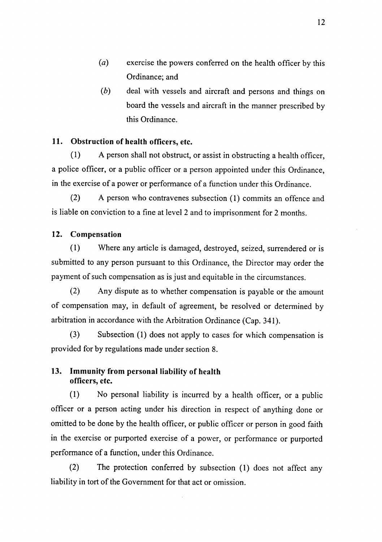- $(a)$ exercise the powers conferred on the health officer by this Ordinance; and
- $(b)$ deal with vessels and aircraft and persons and things on board the vessels and aircraft in the manner prescribed by this Ordinance.

#### Obstruction of health officers, etc.  $11.$

 $(1)$ A person shall not obstruct, or assist in obstructing a health officer, a police officer, or a public officer or a person appointed under this Ordinance, in the exercise of a power or performance of a function under this Ordinance.

 $(2)$ A person who contravenes subsection (1) commits an offence and is liable on conviction to a fine at level 2 and to imprisonment for 2 months.

#### 12. Compensation

Where any article is damaged, destroyed, seized, surrendered or is  $(1)$ submitted to any person pursuant to this Ordinance, the Director may order the payment of such compensation as is just and equitable in the circumstances.

 $(2)$ Any dispute as to whether compensation is payable or the amount of compensation may, in default of agreement, be resolved or determined by arbitration in accordance with the Arbitration Ordinance (Cap. 341).

 $(3)$ Subsection (1) does not apply to cases for which compensation is provided for by regulations made under section 8.

#### $13.$ Immunity from personal liability of health officers. etc.

 $(1)$ No personal liability is incurred by a health officer, or a public officer or a person acting under his direction in respect of anything done or omitted to be done by the health officer, or public officer or person in good faith in the exercise or purported exercise of a power, or performance or purported performance of a function, under this Ordinance.

The protection conferred by subsection (1) does not affect any  $(2)$ liability in tort of the Government for that act or omission.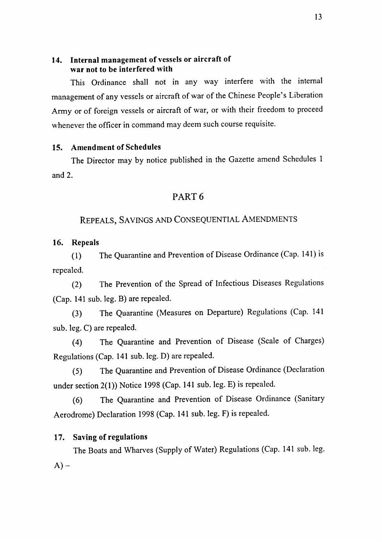### 14. Internal management of vessels or aircraft of war not to be interfered with

This Ordinance shall not in any way interfere with the internal management of any vessels or aircraft of war of the Chinese People's Liberation Army or of foreign vessels or aircraft of war, or with their freedom to proceed whenever the officer in command may deem such course requisite.

### 15. Amendment of Schedules

The Director may by notice published in the Gazette amend Schedules 1 and  $2.$ 

# PART<sub>6</sub>

### REPEALS, SAVINGS AND CONSEQUENTIAL AMENDMENTS

#### 16. Repeals

The Quarantine and Prevention of Disease Ordinance (Cap. 141) is  $(1)$ repealed.

The Prevention of the Spread of Infectious Diseases Regulations  $(2)$ (Cap. 141 sub. leg. B) are repealed.

The Quarantine (Measures on Departure) Regulations (Cap. 141  $(3)$ sub. leg. C) are repealed.

The Quarantine and Prevention of Disease (Scale of Charges)  $(4)$ Regulations (Cap. 141 sub. leg. D) are repealed.

The Quarantine and Prevention of Disease Ordinance (Declaration  $(5)$ under section 2(1)) Notice 1998 (Cap. 141 sub. leg. E) is repealed.

The Quarantine and Prevention of Disease Ordinance (Sanitary  $(6)$ Aerodrome) Declaration 1998 (Cap. 141 sub. leg. F) is repealed.

### 17. Saving of regulations

The Boats and Wharves (Supply of Water) Regulations (Cap. 141 sub. leg.  $A$ ) –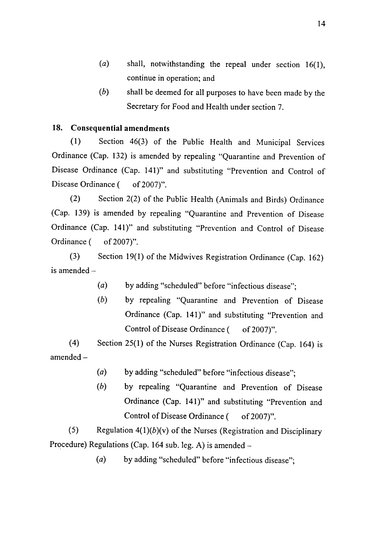- $(a)$ shall, notwithstanding the repeal under section 16(1). continue in operation; and
- $(b)$ shall be deemed for all purposes to have been made by the Secretary for Food and Health under section 7.

#### **18. Consequential amendments**

Section 46(3) of the Public Health and Municipal Services  $(1)$ Ordinance (Cap. 132) is amended by repealing "Quarantine and Prevention of Disease Ordinance (Cap. 141)" and substituting "Prevention and Control of Disease Ordinance ( of  $2007$ ".

 $(2)$ Section 2(2) of the Public Health (Animals and Birds) Ordinance (Cap. 139) is amended by repealing "Quarantine and Prevention of Disease Ordinance (Cap. 141)" and substituting "Prevention and Control of Disease Ordinance ( of 2007)".

 $(3)$ Section 19(1) of the Midwives Registration Ordinance (Cap. 162) is amended  $-$ 

- $(a)$ by adding "scheduled" before "infectious disease":
- $(b)$ by repealing "Quarantine and Prevention of Disease Ordinance (Cap. 141)" and substituting "Prevention and Control of Disease Ordinance ( of 2007)".

 $(4)$ Section 25(1) of the Nurses Registration Ordinance (Cap. 164) is  $amended -$ 

- $(a)$ by adding "scheduled" before "infectious disease":
- $(b)$ by repealing "Quarantine and Prevention of Disease Ordinance (Cap. 141)" and substituting "Prevention and Control of Disease Ordinance ( of 2007)".

 $(5)$ Regulation  $4(1)(b)(v)$  of the Nurses (Registration and Disciplinary Procedure) Regulations (Cap. 164 sub. leg. A) is amended –

> $(a)$ by adding "scheduled" before "infectious disease";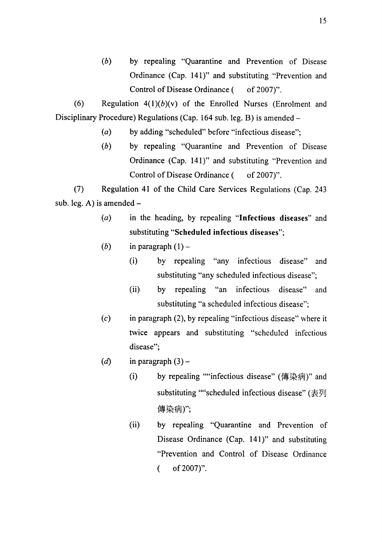$(b)$ by repealing "Quarantine and Prevention of Disease Ordinance (Cap. 141)" and substituting "Prevention and Control of Disease Ordinance ( of 2007)".

 $(6)$ Regulation  $4(1)(b)(v)$  of the Enrolled Nurses (Enrolment and Disciplinary Procedure) Regulations (Cap. 164 sub. leg. B) is amended -

- by adding "scheduled" before "infectious disease";  $(a)$
- $(b)$ by repealing "Quarantine and Prevention of Disease Ordinance (Cap. 141)" and substituting "Prevention and Control of Disease Ordinance ( of  $2007$ ".

 $(7)$ Regulation 41 of the Child Care Services Regulations (Cap. 243 sub. leg. A) is amended  $-$ 

- $(a)$ in the heading, by repealing "Infectious diseases" and substituting "Scheduled infectious diseases";
- $(b)$ in paragraph  $(1)$  –
	- $(i)$ by repealing "any infectious disease" and substituting "any scheduled infectious disease";
	- $(ii)$ by repealing "an infectious" disease" and substituting "a scheduled infectious disease";
- in paragraph (2), by repealing "infectious disease" where it  $(c)$ twice appears and substituting "scheduled infectious disease";
- $(d)$ in paragraph  $(3)$  –
	- by repealing ""infectious disease" (傳染病)" and  $(i)$ substituting ""scheduled infectious disease" (表列 傳染病)";
	- $(ii)$ by repealing "Quarantine and Prevention of Disease Ordinance (Cap. 141)" and substituting "Prevention and Control of Disease Ordinance of 2007)".  $\left($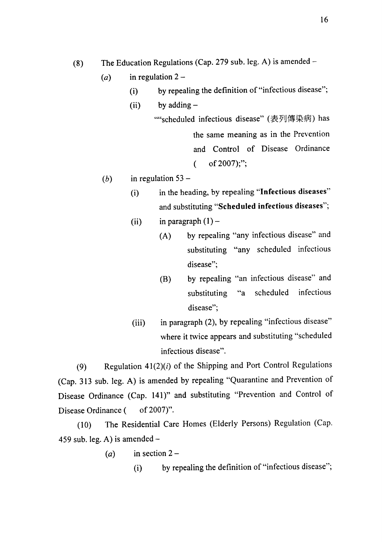The Education Regulations (Cap. 279 sub. leg. A) is amended - $(8)$ 

- in regulation  $2 (a)$ 
	- by repealing the definition of "infectious disease";  $(i)$
	- by adding  $(ii)$ 
		- ""scheduled infectious disease" (表列傳染病) has the same meaning as in the Prevention and Control of Disease Ordinance of 2007);";  $\overline{(\ }$
- in regulation  $53 (b)$ 
	- in the heading, by repealing "Infectious diseases"  $(i)$ and substituting "Scheduled infectious diseases";
	- in paragraph  $(1)$   $(ii)$ 
		- by repealing "any infectious disease" and  $(A)$ substituting "any scheduled infectious disease";
		- by repealing "an infectious disease" and (B) scheduled infectious  $a^{\prime\prime}$ substituting disease";
	- in paragraph (2), by repealing "infectious disease"  $(iii)$ where it twice appears and substituting "scheduled infectious disease".

Regulation  $41(2)(i)$  of the Shipping and Port Control Regulations  $(9)$ (Cap. 313 sub. leg. A) is amended by repealing "Quarantine and Prevention of Disease Ordinance (Cap. 141)" and substituting "Prevention and Control of Disease Ordinance ( of 2007)".

The Residential Care Homes (Elderly Persons) Regulation (Cap.  $(10)$ 459 sub. leg. A) is amended  $-$ 

- in section  $2 (a)$ 
	- by repealing the definition of "infectious disease";  $(i)$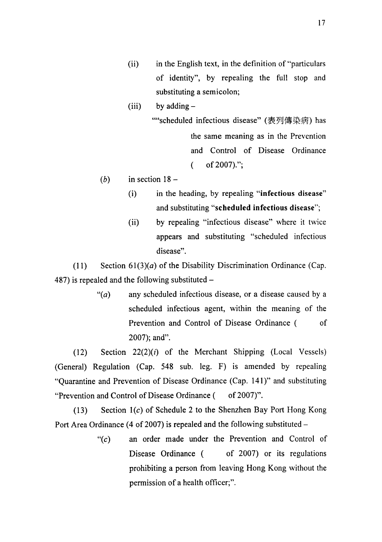- in the English text, in the definition of "particulars"  $(ii)$ of identity", by repealing the full stop and substituting a semicolon;
- $(iii)$ by adding  $-$ 
	- ""scheduled infectious disease" (表列傳染病) has the same meaning as in the Prevention and Control of Disease Ordinance of 2007).";  $\overline{(\ }$
- $(b)$ in section  $18$ 
	- in the heading, by repealing "infectious disease"  $(i)$ and substituting "scheduled infectious disease";
	- $(ii)$ by repealing "infectious disease" where it twice appears and substituting "scheduled infectious disease".

Section  $61(3)(a)$  of the Disability Discrimination Ordinance (Cap.  $(11)$ 487) is repealed and the following substituted  $-$ 

> " $(a)$ any scheduled infectious disease, or a disease caused by a scheduled infectious agent, within the meaning of the Prevention and Control of Disease Ordinance ( <sub>of</sub> 2007); and".

 $(12)$ Section  $22(2)(i)$  of the Merchant Shipping (Local Vessels) (General) Regulation (Cap. 548 sub. leg. F) is amended by repealing "Quarantine and Prevention of Disease Ordinance (Cap. 141)" and substituting "Prevention and Control of Disease Ordinance ( of 2007)".

Section  $1(c)$  of Schedule 2 to the Shenzhen Bay Port Hong Kong  $(13)$ Port Area Ordinance (4 of 2007) is repealed and the following substituted  $-$ 

> an order made under the Prevention and Control of " $(c)$ Disease Ordinance ( of 2007) or its regulations prohibiting a person from leaving Hong Kong without the permission of a health officer;".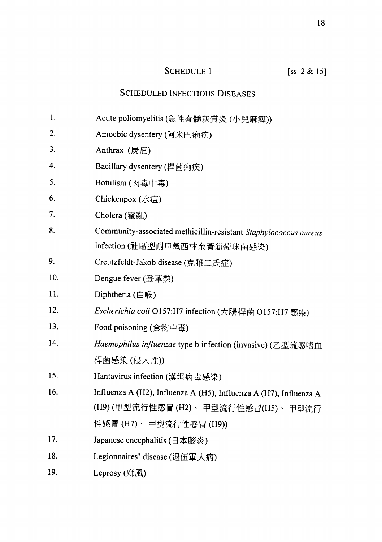# **SCHEDULE 1**

# $[ss. 2 & 15]$

# **SCHEDULED INFECTIOUS DISEASES**

- Acute poliomyelitis (急性脊髓灰質炎(小兒麻痺))  $1.$
- 2. Amoebic dysentery (阿米巴痢疾)
- $3.$ Anthrax (炭疽)
- $\overline{4}$ . Bacillary dysentery (桿菌痢疾)
- $5<sub>1</sub>$ Botulism (肉毒中毒)
- 6. Chickenpox (水痘)
- $7.$ Cholera (霍亂)
- Community-associated methicillin-resistant Staphylococcus aureus 8. infection (社區型耐甲氧西林金黃葡萄球菌感染)
- 9. Creutzfeldt-Jakob disease (克雅二氏症)
- $10.$ Dengue fever (登革熱)
- 11. Diphtheria (白喉)
- $12.$ Escherichia coli O157:H7 infection (大腸桿菌 O157:H7 感染)
- $13.$ Food poisoning (食物中毒)
- $14.$ Haemophilus influenzae type b infection (invasive) (乙型流感嗜血 桿菌感染 (侵入性))
- Hantavirus infection (漢坦病毒感染) 15.
- Influenza A (H2), Influenza A (H5), Influenza A (H7), Influenza A 16. (H9)(甲型流行性感冒(H2)、甲型流行性感冒(H5)、甲型流行 性感冒 (H7)、 甲型流行性感冒 (H9))
- 17. Japanese encephalitis (日本腦炎)
- 18. Legionnaires' disease (退伍軍人病)
- 19. Leprosy (麻風)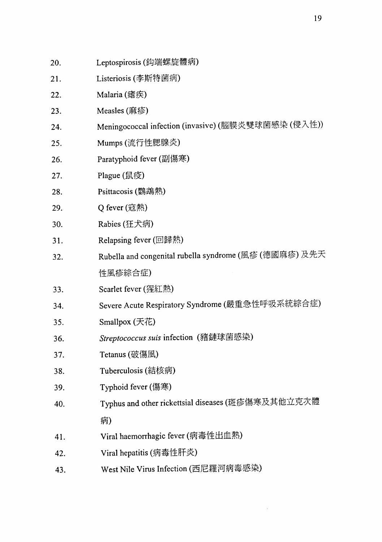| 20. | Leptospirosis (鈎端螺旋體病)                                 |
|-----|--------------------------------------------------------|
| 21. | Listeriosis (李斯特菌病)                                    |
| 22. | Malaria $(E#K)$                                        |
| 23. | Measles $(\overline{m}$ 疹)                             |
| 24. | Meningococcal infection (invasive) (腦膜炎雙球菌感染 (侵入性))    |
| 25. | Mumps (流行性腮腺炎)                                         |
| 26. | Paratyphoid fever (副傷寒)                                |
| 27. | Plague (鼠疫)                                            |
| 28. | Psittacosis (鸚鵡熱)                                      |
| 29. | Q fever (寇熱)                                           |
| 30. | Rabies (狂犬病)                                           |
| 31. | Relapsing fever (回歸熱)                                  |
| 32. | Rubella and congenital rubella syndrome (風疹 (德國麻疹) 及先天 |
|     | 性風疹綜合症)                                                |
| 33. | Scarlet fever (猩紅熱)                                    |
| 34. | Severe Acute Respiratory Syndrome (嚴重急性呼吸系統綜合症)        |
| 35. | Smallpox $(天$ 花                                        |
| 36. | Streptococcus suis infection (豬鏈球菌感染)                  |
| 37. | Tetanus (破傷風)                                          |
| 38. | Tuberculosis (結核病)                                     |
| 39. | Typhoid fever (傷寒)                                     |
| 40. | Typhus and other rickettsial diseases (斑疹傷寒及其他立克次體     |
|     | 病)                                                     |
| 41. | Viral haemorrhagic fever (病毒性出血熱)                      |
| 42. | Viral hepatitis (病毒性肝炎)                                |
| 43. | West Nile Virus Infection (西尼羅河病毒感染)                   |

 $\mathcal{L}^{\text{max}}_{\text{max}}$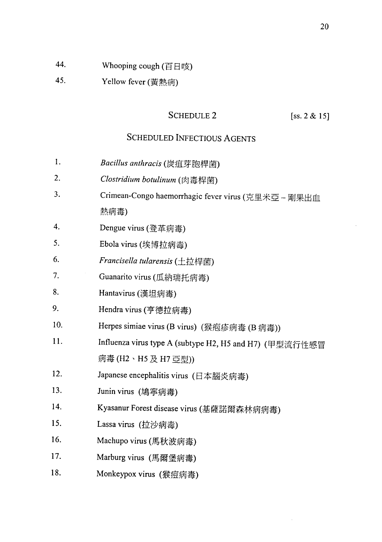- 44. Whooping cough (百日咳)
- 45. Yellow fever (黃熱病)

# **SCHEDULE 2**

### [ss.  $2 & 15$ ]

# **SCHEDULED INFECTIOUS AGENTS**

- Bacillus anthracis (炭疽芽胞桿菌) 1.
- Clostridium botulinum (肉毒桿菌) 2.
- $3.$ Crimean-Congo haemorrhagic fever virus (克里米亞-剛果出血 熱病毒)
- $\overline{4}$ . Dengue virus (登革病毒)
- 5. Ebola virus (埃博拉病毒)
- 6. Francisella tularensis (土拉桿菌)
- 7. Guanarito virus (瓜納瑞托病毒)
- 8. Hantavirus (漢坦病毒)
- Hendra virus (亨德拉病毒) 9.
- Herpes simiae virus (B virus) (猴疱疹病毒 (B 病毒)) 10.
- 11. Influenza virus type A (subtype H2, H5 and H7) (甲型流行性感冒 病毒 (H2、H5 及 H7 亞型))
- Japanese encephalitis virus (日本腦炎病毒)  $12.$
- 13. Junin virus (鳩寧病毒)
- Kyasanur Forest disease virus (基薩諾爾森林病病毒) 14.
- $15.$ Lassa virus (拉沙病毒)
- 16. Machupo virus (馬秋波病毒)
- 17. Marburg virus (馬爾堡病毒)
- 18. Monkeypox virus (猴痘病毒)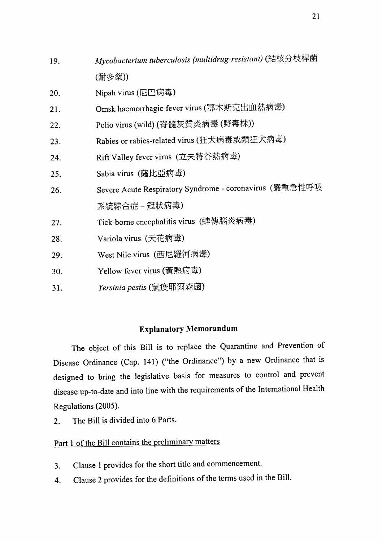| 19. | Mycobacterium tuberculosis (multidrug-resistant) (結核分枝桿菌 |  |
|-----|----------------------------------------------------------|--|
|     | (耐多藥))                                                   |  |
| 20. | Nipah virus (尼巴病毒)                                       |  |
| 21. | Omsk haemorrhagic fever virus (鄂木斯克出血熱病毒)                |  |
| 22. | Polio virus (wild) (脊髓灰質炎病毒 (野毒株))                       |  |
| 23. | Rabies or rabies-related virus (狂犬病毒或類狂犬病毒)              |  |
| 24. | Rift Valley fever virus (立夫特谷熱病毒)                        |  |
| 25. | Sabia virus (薩比亞病毒)                                      |  |
| 26. | Severe Acute Respiratory Syndrome - coronavirus (嚴重急性呼吸  |  |
|     | 系統綜合症 – 冠狀病毒)                                            |  |
| 27. | Tick-borne encephalitis virus (蜱傳腦炎病毒)                   |  |
| 28. | Variola virus (天花病毒)                                     |  |
| 29. | West Nile virus (西尼羅河病毒)                                 |  |
| 30. | Yellow fever virus (黃熱病毒)                                |  |
| 31. | Yersinia pestis (鼠疫耶爾森菌)                                 |  |

# **Explanatory Memorandum**

The object of this Bill is to replace the Quarantine and Prevention of Disease Ordinance (Cap. 141) ("the Ordinance") by a new Ordinance that is designed to bring the legislative basis for measures to control and prevent disease up-to-date and into line with the requirements of the International Health Regulations (2005).

The Bill is divided into 6 Parts.  $2.$ 

# Part 1 of the Bill contains the preliminary matters

- Clause 1 provides for the short title and commencement.  $3.$
- Clause 2 provides for the definitions of the terms used in the Bill. 4.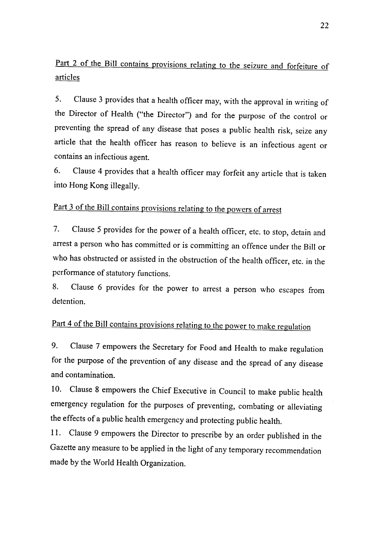# Part 2 of the Bill contains provisions relating to the seizure and forfeiture of articles

Clause 3 provides that a health officer may, with the approval in writing of 5. the Director of Health ("the Director") and for the purpose of the control or preventing the spread of any disease that poses a public health risk, seize any article that the health officer has reason to believe is an infectious agent or contains an infectious agent.

Clause 4 provides that a health officer may forfeit any article that is taken 6. into Hong Kong illegally.

# Part 3 of the Bill contains provisions relating to the powers of arrest

Clause 5 provides for the power of a health officer, etc. to stop, detain and 7. arrest a person who has committed or is committing an offence under the Bill or who has obstructed or assisted in the obstruction of the health officer, etc. in the performance of statutory functions.

Clause 6 provides for the power to arrest a person who escapes from 8. detention.

# Part 4 of the Bill contains provisions relating to the power to make regulation

Clause 7 empowers the Secretary for Food and Health to make regulation 9. for the purpose of the prevention of any disease and the spread of any disease and contamination.

Clause 8 empowers the Chief Executive in Council to make public health  $10.$ emergency regulation for the purposes of preventing, combating or alleviating the effects of a public health emergency and protecting public health.

11. Clause 9 empowers the Director to prescribe by an order published in the Gazette any measure to be applied in the light of any temporary recommendation made by the World Health Organization.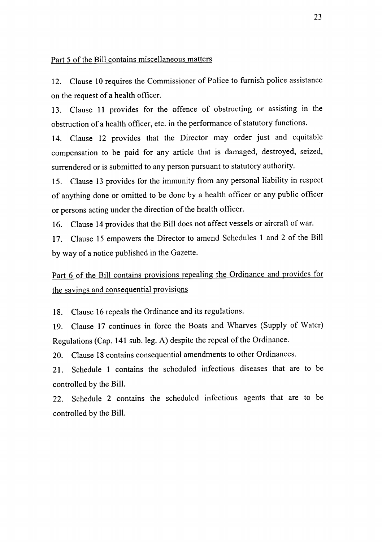### Part 5 of the Bill contains miscellaneous matters

Clause 10 requires the Commissioner of Police to furnish police assistance  $12.$ on the request of a health officer.

13. Clause 11 provides for the offence of obstructing or assisting in the obstruction of a health officer, etc. in the performance of statutory functions.

14. Clause 12 provides that the Director may order just and equitable compensation to be paid for any article that is damaged, destroyed, seized, surrendered or is submitted to any person pursuant to statutory authority.

15. Clause 13 provides for the immunity from any personal liability in respect of anything done or omitted to be done by a health officer or any public officer or persons acting under the direction of the health officer.

16. Clause 14 provides that the Bill does not affect vessels or aircraft of war.

17. Clause 15 empowers the Director to amend Schedules 1 and 2 of the Bill by way of a notice published in the Gazette.

Part 6 of the Bill contains provisions repealing the Ordinance and provides for the savings and consequential provisions

Clause 16 repeals the Ordinance and its regulations. 18.

Clause 17 continues in force the Boats and Wharves (Supply of Water) 19. Regulations (Cap. 141 sub. leg. A) despite the repeal of the Ordinance.

Clause 18 contains consequential amendments to other Ordinances. 20.

Schedule 1 contains the scheduled infectious diseases that are to be 21. controlled by the Bill.

Schedule 2 contains the scheduled infectious agents that are to be 22. controlled by the Bill.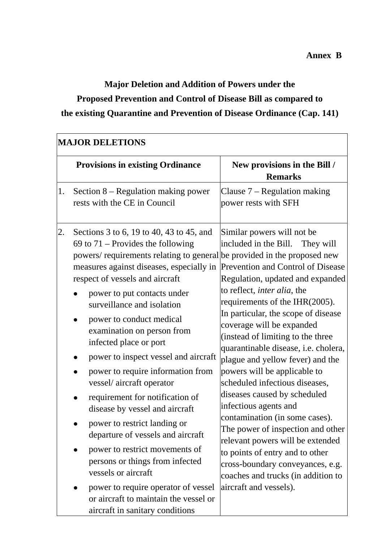# **Major Deletion and Addition of Powers under the Proposed Prevention and Control of Disease Bill as compared to the existing Quarantine and Prevention of Disease Ordinance (Cap. 141)**

| <b>Provisions in existing Ordinance</b><br>Section $8$ – Regulation making power<br>1.<br>rests with the CE in Council<br>2.<br>Sections 3 to 6, 19 to 40, 43 to 45, and<br>69 to $71$ – Provides the following<br>powers/ requirements relating to general be provided in the proposed new<br>measures against diseases, especially in<br>respect of vessels and aircraft<br>power to put contacts under<br>surveillance and isolation<br>power to conduct medical<br>examination on person from<br>infected place or port<br>power to inspect vessel and aircraft<br>power to require information from | New provisions in the Bill /<br><b>Remarks</b><br>Clause $7 -$ Regulation making<br>power rests with SFH                                                                                                                                                                                                                                                                                                                                                                                                                                                                                                                                                                                                                                                   |
|----------------------------------------------------------------------------------------------------------------------------------------------------------------------------------------------------------------------------------------------------------------------------------------------------------------------------------------------------------------------------------------------------------------------------------------------------------------------------------------------------------------------------------------------------------------------------------------------------------|------------------------------------------------------------------------------------------------------------------------------------------------------------------------------------------------------------------------------------------------------------------------------------------------------------------------------------------------------------------------------------------------------------------------------------------------------------------------------------------------------------------------------------------------------------------------------------------------------------------------------------------------------------------------------------------------------------------------------------------------------------|
|                                                                                                                                                                                                                                                                                                                                                                                                                                                                                                                                                                                                          |                                                                                                                                                                                                                                                                                                                                                                                                                                                                                                                                                                                                                                                                                                                                                            |
|                                                                                                                                                                                                                                                                                                                                                                                                                                                                                                                                                                                                          |                                                                                                                                                                                                                                                                                                                                                                                                                                                                                                                                                                                                                                                                                                                                                            |
| vessel/aircraft operator<br>requirement for notification of<br>disease by vessel and aircraft<br>power to restrict landing or<br>departure of vessels and aircraft<br>power to restrict movements of<br>persons or things from infected<br>vessels or aircraft<br>aircraft and vessels).<br>power to require operator of vessel<br>or aircraft to maintain the vessel or                                                                                                                                                                                                                                 | Similar powers will not be<br>included in the Bill.<br>They will<br>Prevention and Control of Disease<br>Regulation, updated and expanded<br>to reflect, <i>inter alia</i> , the<br>requirements of the IHR(2005).<br>In particular, the scope of disease<br>coverage will be expanded<br>(instead of limiting to the three<br>quarantinable disease, i.e. cholera,<br>plague and yellow fever) and the<br>powers will be applicable to<br>scheduled infectious diseases,<br>diseases caused by scheduled<br>infectious agents and<br>contamination (in some cases).<br>The power of inspection and other<br>relevant powers will be extended<br>to points of entry and to other<br>cross-boundary conveyances, e.g.<br>coaches and trucks (in addition to |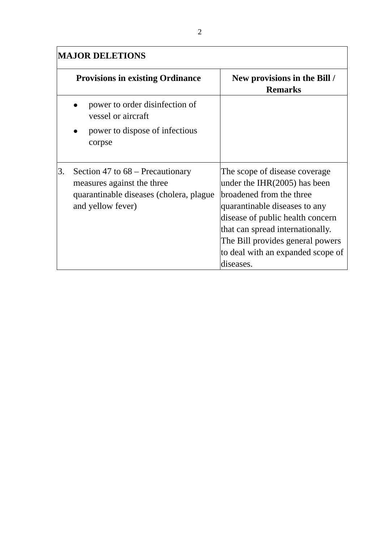| <b>MAJOR DELETIONS</b> |                                                                                                                                  |                                                                                                                                                                                                                                                                                            |
|------------------------|----------------------------------------------------------------------------------------------------------------------------------|--------------------------------------------------------------------------------------------------------------------------------------------------------------------------------------------------------------------------------------------------------------------------------------------|
|                        | <b>Provisions in existing Ordinance</b>                                                                                          | New provisions in the Bill /<br><b>Remarks</b>                                                                                                                                                                                                                                             |
|                        | power to order disinfection of<br>vessel or aircraft                                                                             |                                                                                                                                                                                                                                                                                            |
|                        | power to dispose of infectious<br>corpse                                                                                         |                                                                                                                                                                                                                                                                                            |
| 3.                     | Section 47 to $68$ – Precautionary<br>measures against the three<br>quarantinable diseases (cholera, plague<br>and yellow fever) | The scope of disease coverage<br>under the $IHR(2005)$ has been<br>broadened from the three<br>quarantinable diseases to any<br>disease of public health concern<br>that can spread internationally.<br>The Bill provides general powers<br>to deal with an expanded scope of<br>diseases. |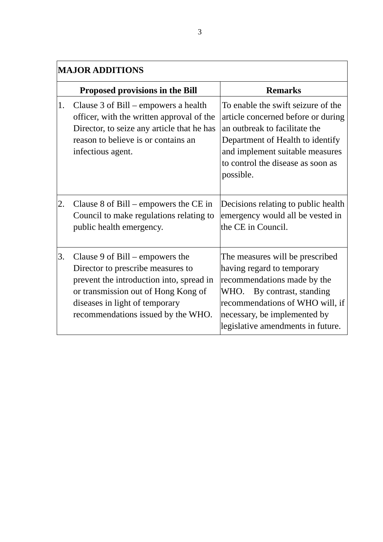|    | <b>MAJOR ADDITIONS</b>                                                                                                                                                                                                            |                                                                                                                                                                                                                                       |  |
|----|-----------------------------------------------------------------------------------------------------------------------------------------------------------------------------------------------------------------------------------|---------------------------------------------------------------------------------------------------------------------------------------------------------------------------------------------------------------------------------------|--|
|    | Proposed provisions in the Bill                                                                                                                                                                                                   | <b>Remarks</b>                                                                                                                                                                                                                        |  |
| 1. | Clause 3 of Bill – empowers a health<br>officer, with the written approval of the<br>Director, to seize any article that he has<br>reason to believe is or contains an<br>infectious agent.                                       | To enable the swift seizure of the<br>article concerned before or during<br>an outbreak to facilitate the<br>Department of Health to identify<br>and implement suitable measures<br>to control the disease as soon as<br>possible.    |  |
| 2. | Clause $8$ of Bill – empowers the CE in<br>Council to make regulations relating to<br>public health emergency.                                                                                                                    | Decisions relating to public health<br>emergency would all be vested in<br>the CE in Council.                                                                                                                                         |  |
| 3. | Clause 9 of $Bill$ – empowers the<br>Director to prescribe measures to<br>prevent the introduction into, spread in<br>or transmission out of Hong Kong of<br>diseases in light of temporary<br>recommendations issued by the WHO. | The measures will be prescribed<br>having regard to temporary<br>recommendations made by the<br>WHO.<br>By contrast, standing<br>recommendations of WHO will, if<br>necessary, be implemented by<br>legislative amendments in future. |  |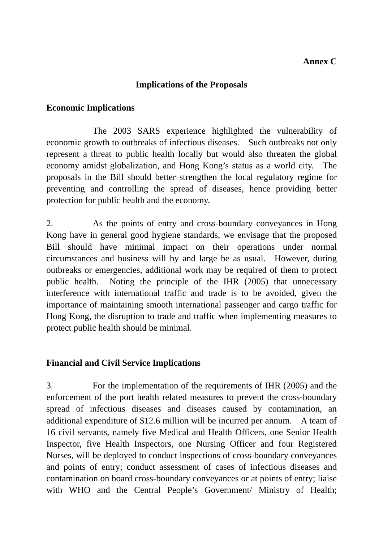# **Implications of the Proposals**

# **Economic Implications**

 The 2003 SARS experience highlighted the vulnerability of economic growth to outbreaks of infectious diseases. Such outbreaks not only represent a threat to public health locally but would also threaten the global economy amidst globalization, and Hong Kong's status as a world city. The proposals in the Bill should better strengthen the local regulatory regime for preventing and controlling the spread of diseases, hence providing better protection for public health and the economy.

2. As the points of entry and cross-boundary conveyances in Hong Kong have in general good hygiene standards, we envisage that the proposed Bill should have minimal impact on their operations under normal circumstances and business will by and large be as usual. However, during outbreaks or emergencies, additional work may be required of them to protect public health. Noting the principle of the IHR (2005) that unnecessary interference with international traffic and trade is to be avoided, given the importance of maintaining smooth international passenger and cargo traffic for Hong Kong, the disruption to trade and traffic when implementing measures to protect public health should be minimal.

# **Financial and Civil Service Implications**

3. For the implementation of the requirements of IHR (2005) and the enforcement of the port health related measures to prevent the cross-boundary spread of infectious diseases and diseases caused by contamination, an additional expenditure of \$12.6 million will be incurred per annum. A team of 16 civil servants, namely five Medical and Health Officers, one Senior Health Inspector, five Health Inspectors, one Nursing Officer and four Registered Nurses, will be deployed to conduct inspections of cross-boundary conveyances and points of entry; conduct assessment of cases of infectious diseases and contamination on board cross-boundary conveyances or at points of entry; liaise with WHO and the Central People's Government/ Ministry of Health;